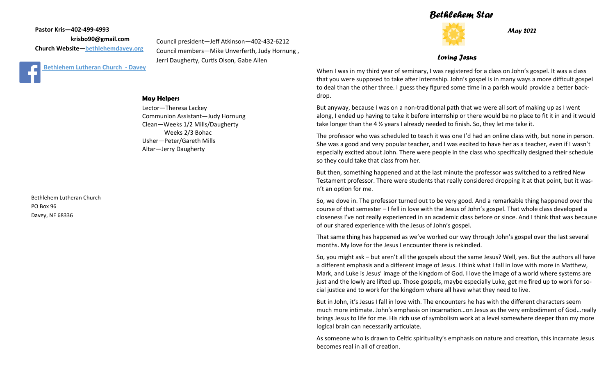## *Bethlehem Star*

**Pastor Kris—402-499-4993 krisbo90@gmail.com Church Website—<bethlehemdavey.org>**



Council president—Jeff Atkinson—402-432-6212 Council members—Mike Unverferth, Judy Hornung , Jerri Daugherty, Curtis Olson, Gabe Allen

### **May Helpers**

Lector—Theresa Lackey Communion Assistant—Judy Hornung Clean—Weeks 1/2 Mills/Daugherty Weeks 2/3 Bohac Usher—Peter/Gareth Mills Altar—Jerry Daugherty

Bethlehem Lutheran Church PO Box 96 Davey, NE 68336



*May 2022*

#### *Loving Jesus*

When I was in my third year of seminary, I was registered for a class on John's gospel. It was a class that you were supposed to take after internship. John's gospel is in many ways a more difficult gospel to deal than the other three. I guess they figured some time in a parish would provide a better backdrop.

But anyway, because I was on a non-traditional path that we were all sort of making up as I went along, I ended up having to take it before internship or there would be no place to fit it in and it would take longer than the 4 ½ years I already needed to finish. So, they let me take it.

The professor who was scheduled to teach it was one I'd had an online class with, but none in person. She was a good and very popular teacher, and I was excited to have her as a teacher, even if I wasn't especially excited about John. There were people in the class who specifically designed their schedule so they could take that class from her.

But then, something happened and at the last minute the professor was switched to a retired New Testament professor. There were students that really considered dropping it at that point, but it wasn't an option for me.

So, we dove in. The professor turned out to be very good. And a remarkable thing happened over the course of that semester – I fell in love with the Jesus of John's gospel. That whole class developed a closeness I've not really experienced in an academic class before or since. And I think that was because of our shared experience with the Jesus of John's gospel.

That same thing has happened as we've worked our way through John's gospel over the last several months. My love for the Jesus I encounter there is rekindled.

So, you might ask – but aren't all the gospels about the same Jesus? Well, yes. But the authors all have a different emphasis and a different image of Jesus. I think what I fall in love with more in Matthew, Mark, and Luke is Jesus' image of the kingdom of God. I love the image of a world where systems are just and the lowly are lifted up. Those gospels, maybe especially Luke, get me fired up to work for social justice and to work for the kingdom where all have what they need to live.

But in John, it's Jesus I fall in love with. The encounters he has with the different characters seem much more intimate. John's emphasis on incarnation…on Jesus as the very embodiment of God…really brings Jesus to life for me. His rich use of symbolism work at a level somewhere deeper than my more logical brain can necessarily articulate.

As someone who is drawn to Celtic spirituality's emphasis on nature and creation, this incarnate Jesus becomes real in all of creation.